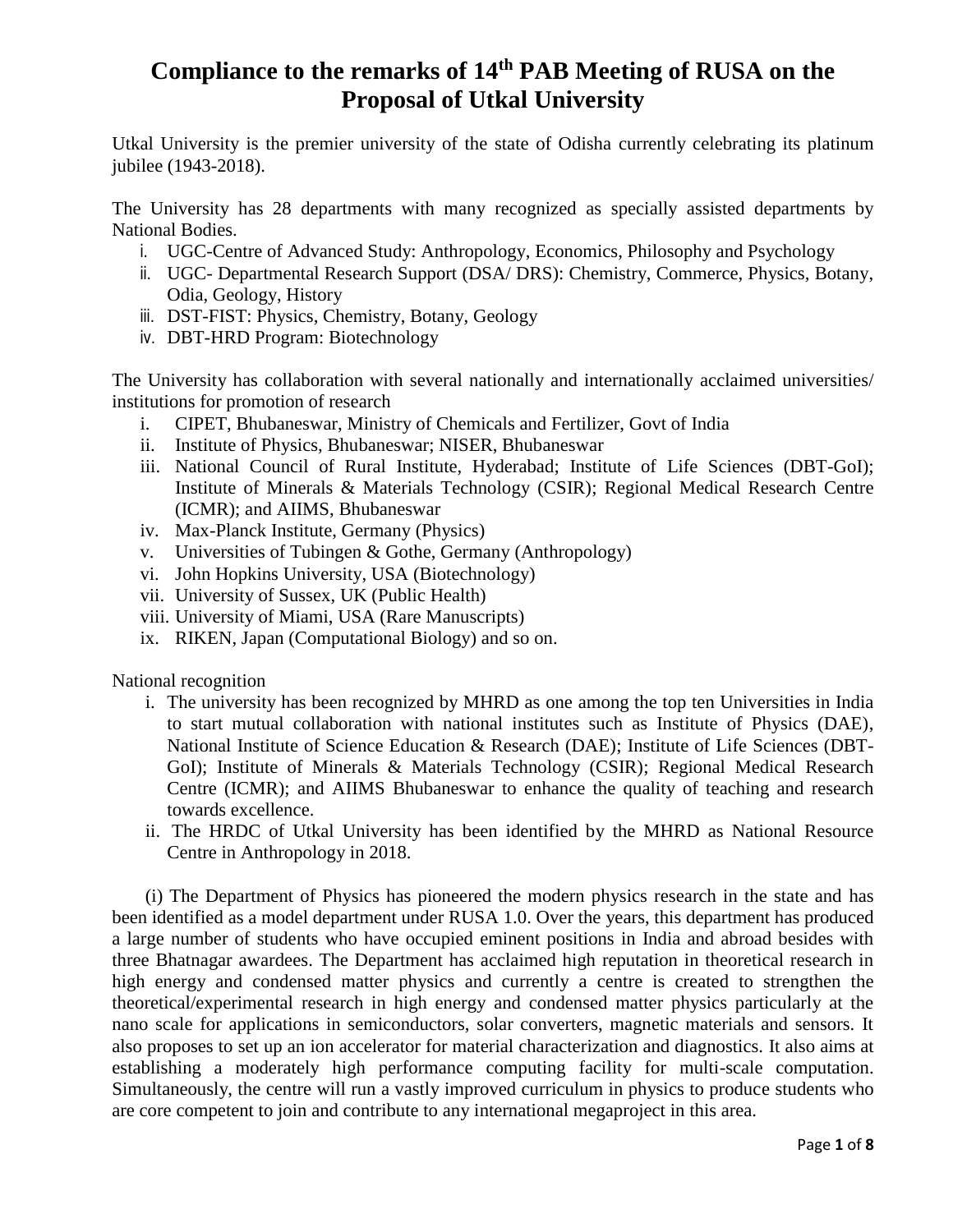## **Compliance to the remarks of 14th PAB Meeting of RUSA on the Proposal of Utkal University**

Utkal University is the premier university of the state of Odisha currently celebrating its platinum jubilee (1943-2018).

The University has 28 departments with many recognized as specially assisted departments by National Bodies.

- i. UGC-Centre of Advanced Study: Anthropology, Economics, Philosophy and Psychology
- ii. UGC- Departmental Research Support (DSA/ DRS): Chemistry, Commerce, Physics, Botany, Odia, Geology, History
- iii. DST-FIST: Physics, Chemistry, Botany, Geology
- iv. DBT-HRD Program: Biotechnology

The University has collaboration with several nationally and internationally acclaimed universities/ institutions for promotion of research

- i. CIPET, Bhubaneswar, Ministry of Chemicals and Fertilizer, Govt of India
- ii. Institute of Physics, Bhubaneswar; NISER, Bhubaneswar
- iii. National Council of Rural Institute, Hyderabad; Institute of Life Sciences (DBT-GoI); Institute of Minerals & Materials Technology (CSIR); Regional Medical Research Centre (ICMR); and AIIMS, Bhubaneswar
- iv. Max-Planck Institute, Germany (Physics)
- v. Universities of Tubingen & Gothe, Germany (Anthropology)
- vi. John Hopkins University, USA (Biotechnology)
- vii. University of Sussex, UK (Public Health)
- viii. University of Miami, USA (Rare Manuscripts)
- ix. RIKEN, Japan (Computational Biology) and so on.

National recognition

- i. The university has been recognized by MHRD as one among the top ten Universities in India to start mutual collaboration with national institutes such as Institute of Physics (DAE), National Institute of Science Education & Research (DAE); Institute of Life Sciences (DBT-GoI); Institute of Minerals & Materials Technology (CSIR); Regional Medical Research Centre (ICMR); and AIIMS Bhubaneswar to enhance the quality of teaching and research towards excellence.
- ii. The HRDC of Utkal University has been identified by the MHRD as National Resource Centre in Anthropology in 2018.

(i) The Department of Physics has pioneered the modern physics research in the state and has been identified as a model department under RUSA 1.0. Over the years, this department has produced a large number of students who have occupied eminent positions in India and abroad besides with three Bhatnagar awardees. The Department has acclaimed high reputation in theoretical research in high energy and condensed matter physics and currently a centre is created to strengthen the theoretical/experimental research in high energy and condensed matter physics particularly at the nano scale for applications in semiconductors, solar converters, magnetic materials and sensors. It also proposes to set up an ion accelerator for material characterization and diagnostics. It also aims at establishing a moderately high performance computing facility for multi-scale computation. Simultaneously, the centre will run a vastly improved curriculum in physics to produce students who are core competent to join and contribute to any international megaproject in this area.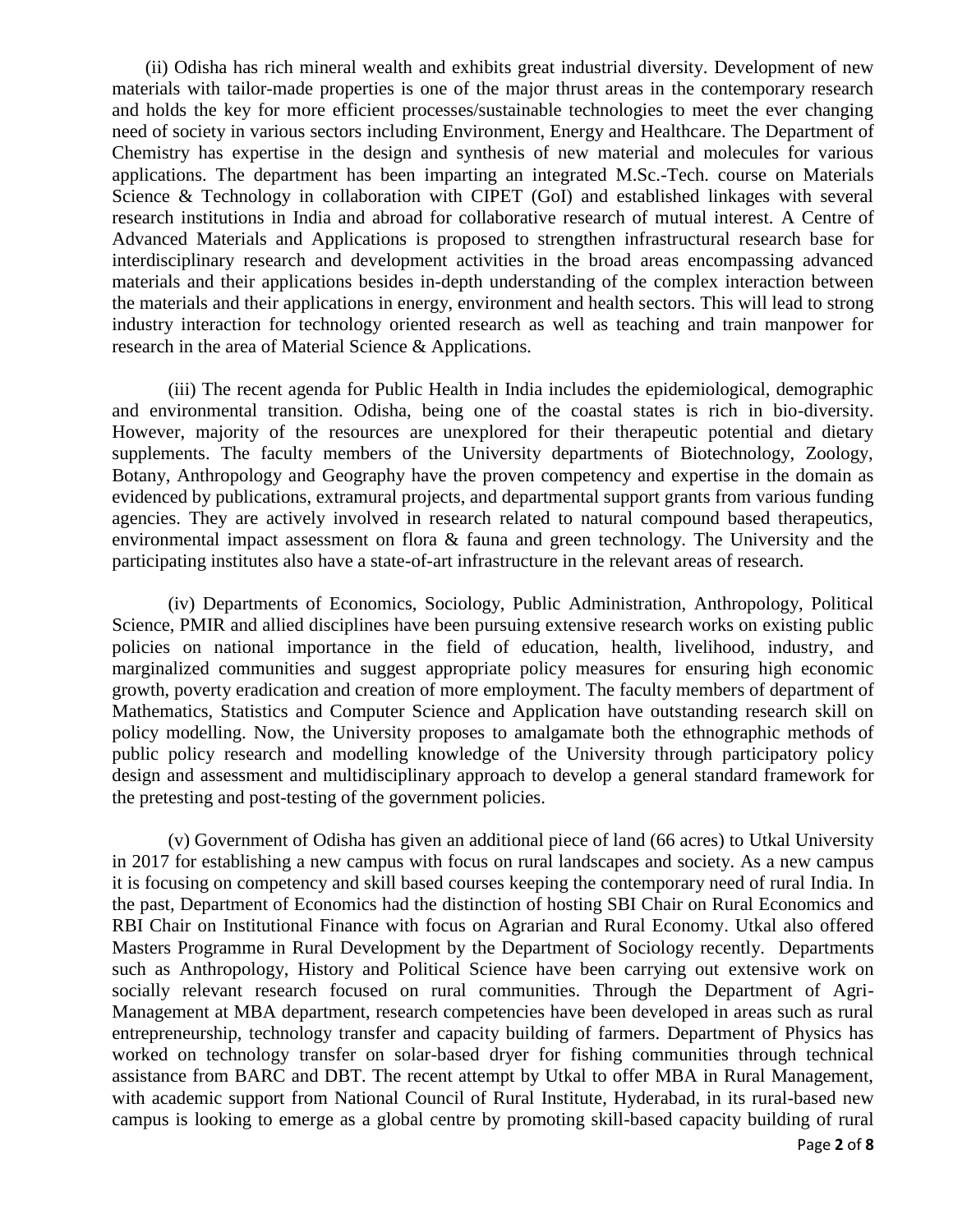(ii) Odisha has rich mineral wealth and exhibits great industrial diversity. Development of new materials with tailor-made properties is one of the major thrust areas in the contemporary research and holds the key for more efficient processes/sustainable technologies to meet the ever changing need of society in various sectors including Environment, Energy and Healthcare. The Department of Chemistry has expertise in the design and synthesis of new material and molecules for various applications. The department has been imparting an integrated M.Sc.-Tech. course on Materials Science & Technology in collaboration with CIPET (GoI) and established linkages with several research institutions in India and abroad for collaborative research of mutual interest. A Centre of Advanced Materials and Applications is proposed to strengthen infrastructural research base for interdisciplinary research and development activities in the broad areas encompassing advanced materials and their applications besides in-depth understanding of the complex interaction between the materials and their applications in energy, environment and health sectors. This will lead to strong industry interaction for technology oriented research as well as teaching and train manpower for research in the area of Material Science & Applications.

(iii) The recent agenda for Public Health in India includes the epidemiological, demographic and environmental transition. Odisha, being one of the coastal states is rich in bio-diversity. However, majority of the resources are unexplored for their therapeutic potential and dietary supplements. The faculty members of the University departments of Biotechnology, Zoology, Botany, Anthropology and Geography have the proven competency and expertise in the domain as evidenced by publications, extramural projects, and departmental support grants from various funding agencies. They are actively involved in research related to natural compound based therapeutics, environmental impact assessment on flora & fauna and green technology. The University and the participating institutes also have a state-of-art infrastructure in the relevant areas of research.

(iv) Departments of Economics, Sociology, Public Administration, Anthropology, Political Science, PMIR and allied disciplines have been pursuing extensive research works on existing public policies on national importance in the field of education, health, livelihood, industry, and marginalized communities and suggest appropriate policy measures for ensuring high economic growth, poverty eradication and creation of more employment. The faculty members of department of Mathematics, Statistics and Computer Science and Application have outstanding research skill on policy modelling. Now, the University proposes to amalgamate both the ethnographic methods of public policy research and modelling knowledge of the University through participatory policy design and assessment and multidisciplinary approach to develop a general standard framework for the pretesting and post-testing of the government policies.

(v) Government of Odisha has given an additional piece of land (66 acres) to Utkal University in 2017 for establishing a new campus with focus on rural landscapes and society. As a new campus it is focusing on competency and skill based courses keeping the contemporary need of rural India. In the past, Department of Economics had the distinction of hosting SBI Chair on Rural Economics and RBI Chair on Institutional Finance with focus on Agrarian and Rural Economy. Utkal also offered Masters Programme in Rural Development by the Department of Sociology recently. Departments such as Anthropology, History and Political Science have been carrying out extensive work on socially relevant research focused on rural communities. Through the Department of Agri-Management at MBA department, research competencies have been developed in areas such as rural entrepreneurship, technology transfer and capacity building of farmers. Department of Physics has worked on technology transfer on solar-based dryer for fishing communities through technical assistance from BARC and DBT. The recent attempt by Utkal to offer MBA in Rural Management, with academic support from National Council of Rural Institute, Hyderabad, in its rural-based new campus is looking to emerge as a global centre by promoting skill-based capacity building of rural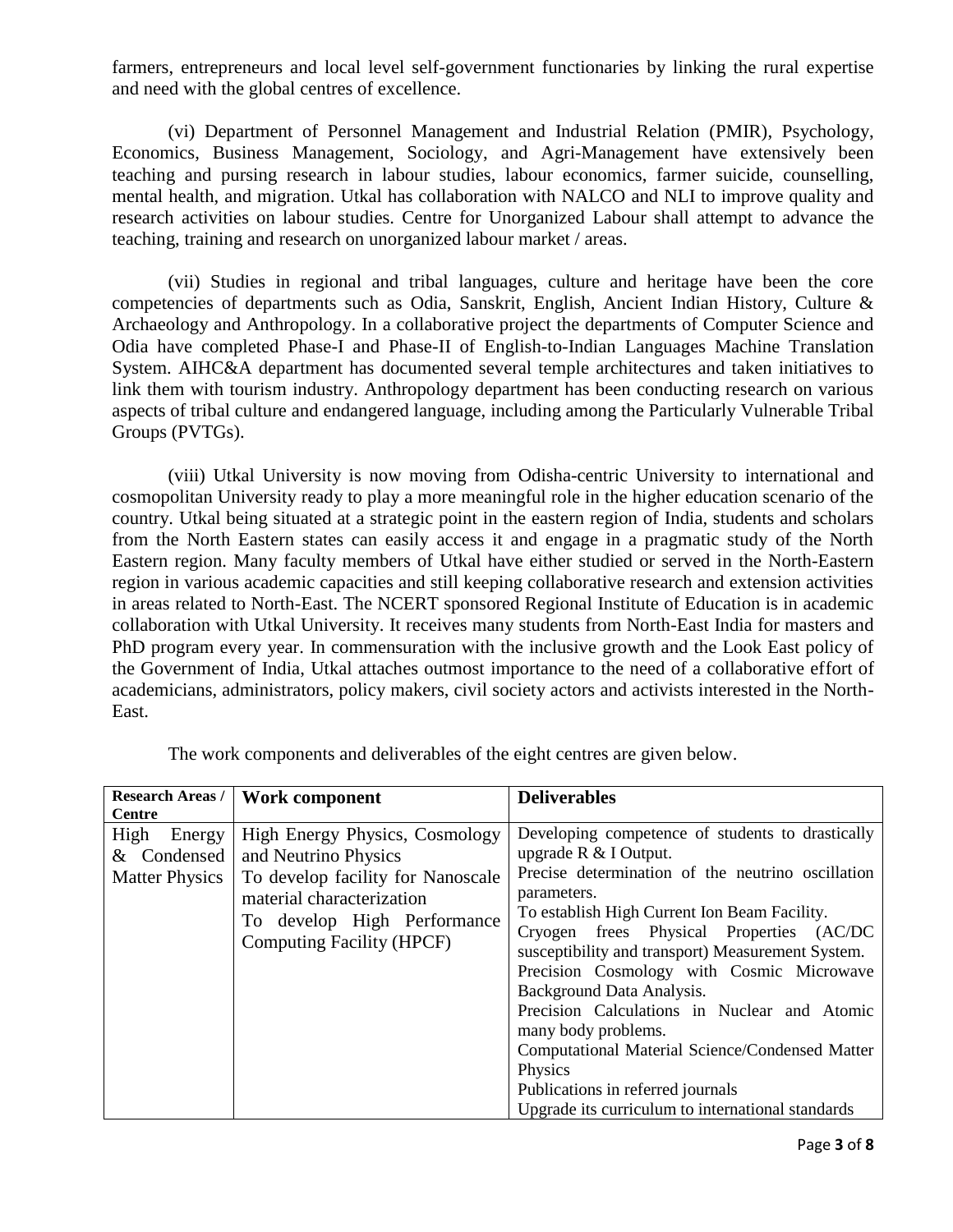farmers, entrepreneurs and local level self-government functionaries by linking the rural expertise and need with the global centres of excellence.

(vi) Department of Personnel Management and Industrial Relation (PMIR), Psychology, Economics, Business Management, Sociology, and Agri-Management have extensively been teaching and pursing research in labour studies, labour economics, farmer suicide, counselling, mental health, and migration. Utkal has collaboration with NALCO and NLI to improve quality and research activities on labour studies. Centre for Unorganized Labour shall attempt to advance the teaching, training and research on unorganized labour market / areas.

(vii) Studies in regional and tribal languages, culture and heritage have been the core competencies of departments such as Odia, Sanskrit, English, Ancient Indian History, Culture & Archaeology and Anthropology. In a collaborative project the departments of Computer Science and Odia have completed Phase-I and Phase-II of English-to-Indian Languages Machine Translation System. AIHC&A department has documented several temple architectures and taken initiatives to link them with tourism industry. Anthropology department has been conducting research on various aspects of tribal culture and endangered language, including among the Particularly Vulnerable Tribal Groups (PVTGs).

(viii) Utkal University is now moving from Odisha-centric University to international and cosmopolitan University ready to play a more meaningful role in the higher education scenario of the country. Utkal being situated at a strategic point in the eastern region of India, students and scholars from the North Eastern states can easily access it and engage in a pragmatic study of the North Eastern region. Many faculty members of Utkal have either studied or served in the North-Eastern region in various academic capacities and still keeping collaborative research and extension activities in areas related to North-East. The NCERT sponsored Regional Institute of Education is in academic collaboration with Utkal University. It receives many students from North-East India for masters and PhD program every year. In commensuration with the inclusive growth and the Look East policy of the Government of India, Utkal attaches outmost importance to the need of a collaborative effort of academicians, administrators, policy makers, civil society actors and activists interested in the North-East.

| <b>Research Areas /</b><br><b>Centre</b>               | Work component                                                                                                                                                                              | <b>Deliverables</b>                                                                                                                                                                                                                                                                                                                                                                                                                                                                                                                                                                                        |
|--------------------------------------------------------|---------------------------------------------------------------------------------------------------------------------------------------------------------------------------------------------|------------------------------------------------------------------------------------------------------------------------------------------------------------------------------------------------------------------------------------------------------------------------------------------------------------------------------------------------------------------------------------------------------------------------------------------------------------------------------------------------------------------------------------------------------------------------------------------------------------|
| High<br>Energy<br>& Condensed<br><b>Matter Physics</b> | <b>High Energy Physics, Cosmology</b><br>and Neutrino Physics<br>To develop facility for Nanoscale<br>material characterization<br>To develop High Performance<br>Computing Facility (HPCF) | Developing competence of students to drastically<br>upgrade $R \& I$ Output.<br>Precise determination of the neutrino oscillation<br>parameters.<br>To establish High Current Ion Beam Facility.<br>Cryogen frees Physical Properties (AC/DC<br>susceptibility and transport) Measurement System.<br>Precision Cosmology with Cosmic Microwave<br>Background Data Analysis.<br>Precision Calculations in Nuclear and Atomic<br>many body problems.<br>Computational Material Science/Condensed Matter<br>Physics<br>Publications in referred journals<br>Upgrade its curriculum to international standards |

The work components and deliverables of the eight centres are given below.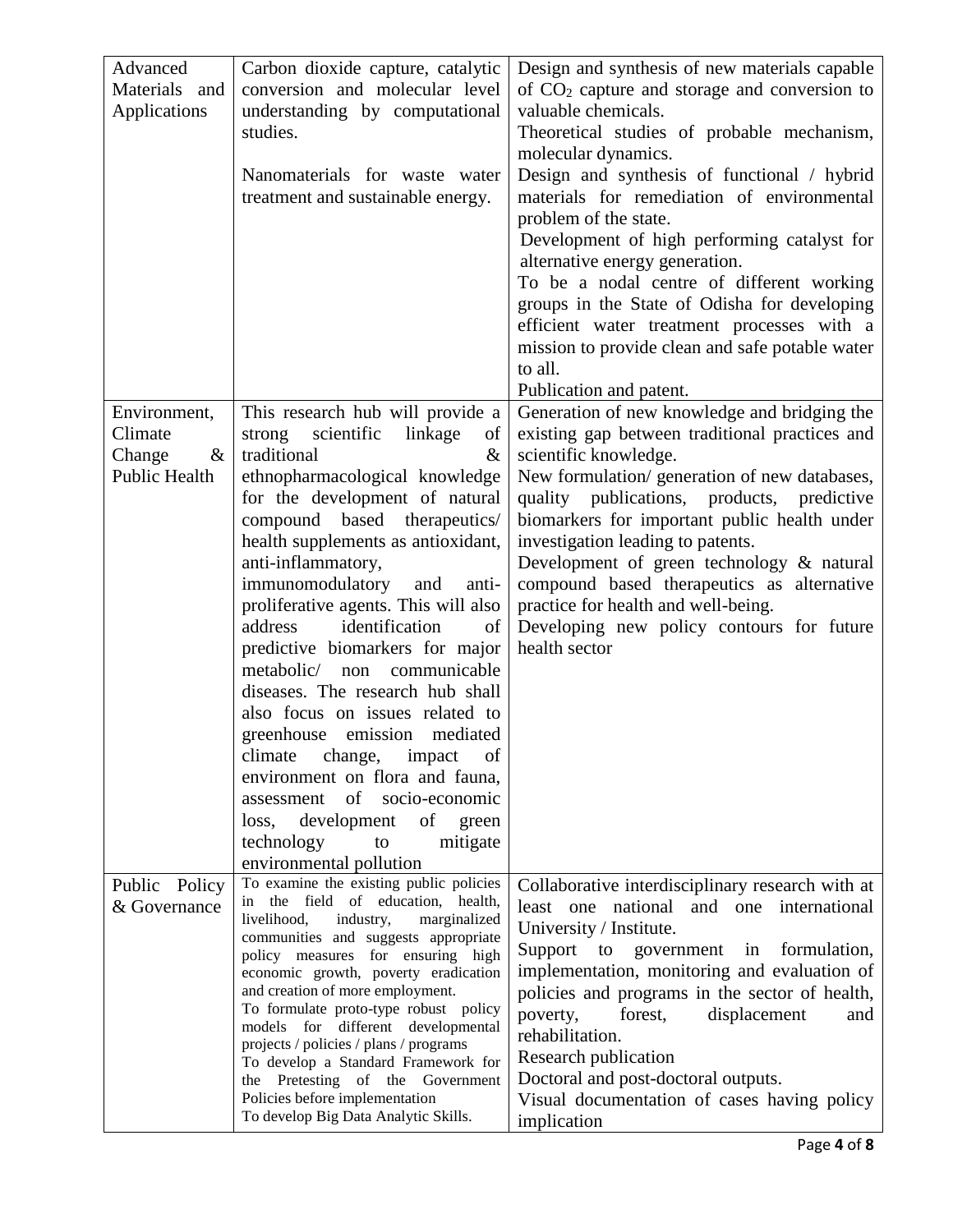| Advanced             | Carbon dioxide capture, catalytic                                             | Design and synthesis of new materials capable    |
|----------------------|-------------------------------------------------------------------------------|--------------------------------------------------|
| Materials and        | conversion and molecular level                                                |                                                  |
|                      |                                                                               | of $CO2$ capture and storage and conversion to   |
| Applications         | understanding by computational                                                | valuable chemicals.                              |
|                      | studies.                                                                      | Theoretical studies of probable mechanism,       |
|                      |                                                                               | molecular dynamics.                              |
|                      | Nanomaterials for waste water                                                 | Design and synthesis of functional / hybrid      |
|                      | treatment and sustainable energy.                                             | materials for remediation of environmental       |
|                      |                                                                               | problem of the state.                            |
|                      |                                                                               | Development of high performing catalyst for      |
|                      |                                                                               | alternative energy generation.                   |
|                      |                                                                               | To be a nodal centre of different working        |
|                      |                                                                               | groups in the State of Odisha for developing     |
|                      |                                                                               | efficient water treatment processes with a       |
|                      |                                                                               | mission to provide clean and safe potable water  |
|                      |                                                                               |                                                  |
|                      |                                                                               | to all.                                          |
|                      |                                                                               | Publication and patent.                          |
| Environment,         | This research hub will provide a                                              | Generation of new knowledge and bridging the     |
| Climate              | scientific<br>linkage<br>strong<br>of                                         | existing gap between traditional practices and   |
| $\&$<br>Change       | traditional<br>$\&$                                                           | scientific knowledge.                            |
| <b>Public Health</b> | ethnopharmacological knowledge                                                | New formulation/ generation of new databases,    |
|                      | for the development of natural                                                | quality publications, products, predictive       |
|                      | compound based<br>therapeutics/                                               | biomarkers for important public health under     |
|                      | health supplements as antioxidant,                                            | investigation leading to patents.                |
|                      | anti-inflammatory,                                                            | Development of green technology & natural        |
|                      | immunomodulatory<br>and<br>anti-                                              | compound based therapeutics as alternative       |
|                      | proliferative agents. This will also                                          | practice for health and well-being.              |
|                      | identification<br>address<br>of                                               | Developing new policy contours for future        |
|                      | predictive biomarkers for major                                               | health sector                                    |
|                      | metabolic/<br>communicable<br>non                                             |                                                  |
|                      | diseases. The research hub shall                                              |                                                  |
|                      | also focus on issues related to                                               |                                                  |
|                      | greenhouse emission mediated                                                  |                                                  |
|                      | climate<br>change,<br>impact<br><sub>of</sub>                                 |                                                  |
|                      | environment on flora and fauna,                                               |                                                  |
|                      | assessment of<br>socio-economic                                               |                                                  |
|                      |                                                                               |                                                  |
|                      | development<br>of<br>loss,<br>green                                           |                                                  |
|                      | technology<br>mitigate<br>to                                                  |                                                  |
|                      | environmental pollution                                                       |                                                  |
| Public<br>Policy     | To examine the existing public policies<br>in the field of education, health, | Collaborative interdisciplinary research with at |
| & Governance         | livelihood,<br>industry,<br>marginalized                                      | least one national and one international         |
|                      | communities and suggests appropriate                                          | University / Institute.                          |
|                      | policy measures for ensuring high                                             | Support to government in formulation,            |
|                      | economic growth, poverty eradication                                          | implementation, monitoring and evaluation of     |
|                      | and creation of more employment.                                              | policies and programs in the sector of health,   |
|                      | To formulate proto-type robust policy<br>models for different developmental   | poverty,<br>forest,<br>displacement<br>and       |
|                      | projects / policies / plans / programs                                        | rehabilitation.                                  |
|                      | To develop a Standard Framework for                                           | Research publication                             |
|                      | the Pretesting of the Government                                              | Doctoral and post-doctoral outputs.              |
|                      | Policies before implementation                                                | Visual documentation of cases having policy      |
|                      | To develop Big Data Analytic Skills.                                          | implication                                      |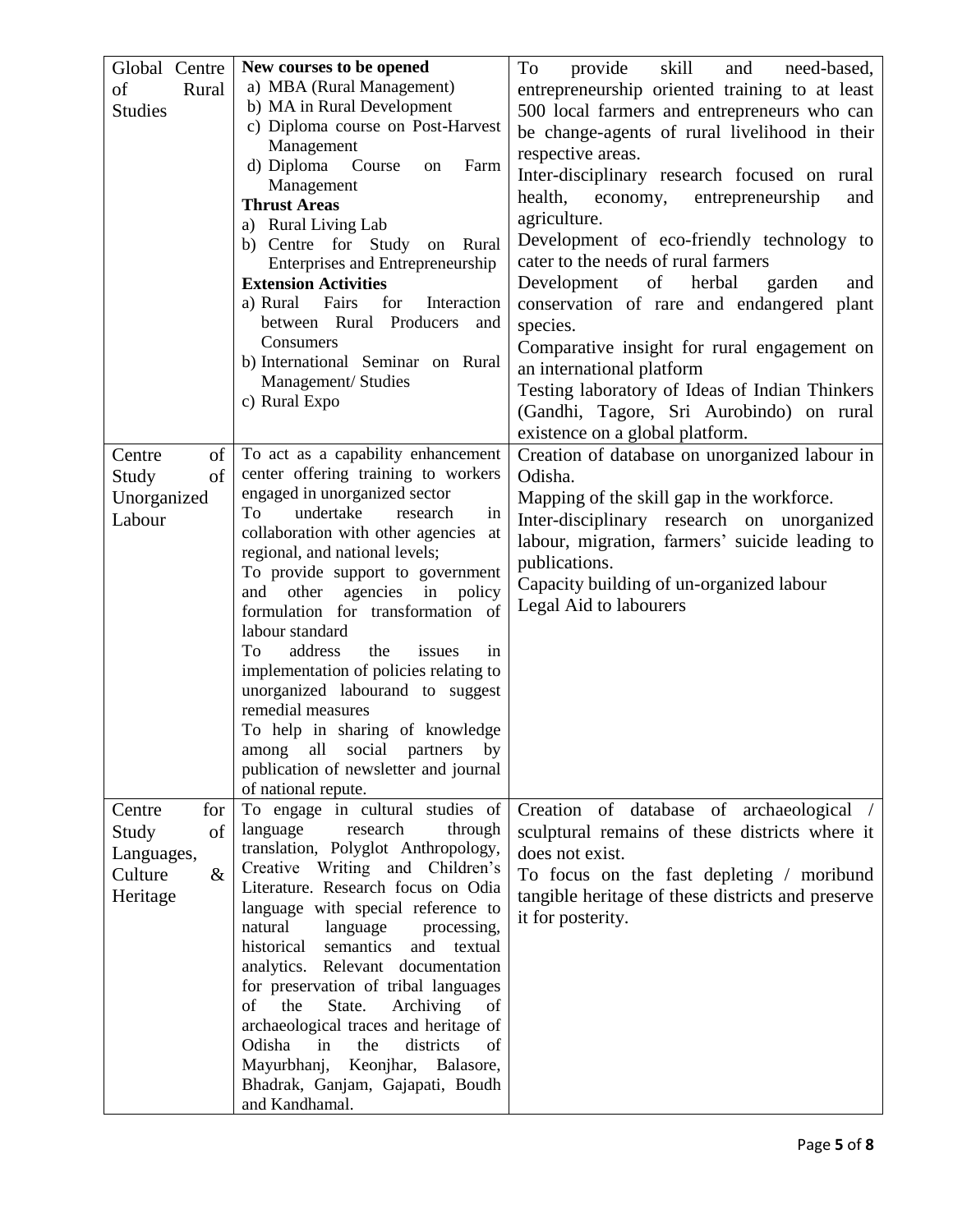| Global Centre<br>of<br>Rural<br><b>Studies</b>                            | New courses to be opened<br>a) MBA (Rural Management)<br>b) MA in Rural Development<br>c) Diploma course on Post-Harvest<br>Management<br>d) Diploma<br>Farm<br>Course<br>on<br>Management<br><b>Thrust Areas</b><br>a) Rural Living Lab<br>b) Centre for Study<br>Rural<br>on<br>Enterprises and Entrepreneurship<br><b>Extension Activities</b>                                                                                                                                                                                                                                                                                               | skill<br>To<br>provide<br>and<br>need-based,<br>entrepreneurship oriented training to at least<br>500 local farmers and entrepreneurs who can<br>be change-agents of rural livelihood in their<br>respective areas.<br>Inter-disciplinary research focused on rural<br>health,<br>economy,<br>entrepreneurship<br>and<br>agriculture.<br>Development of eco-friendly technology to<br>cater to the needs of rural farmers<br>Development<br>of<br>herbal<br>garden<br>and |
|---------------------------------------------------------------------------|-------------------------------------------------------------------------------------------------------------------------------------------------------------------------------------------------------------------------------------------------------------------------------------------------------------------------------------------------------------------------------------------------------------------------------------------------------------------------------------------------------------------------------------------------------------------------------------------------------------------------------------------------|---------------------------------------------------------------------------------------------------------------------------------------------------------------------------------------------------------------------------------------------------------------------------------------------------------------------------------------------------------------------------------------------------------------------------------------------------------------------------|
|                                                                           | a) Rural<br>Fairs<br>for<br>Interaction<br>between Rural Producers<br>and<br>Consumers<br>b) International Seminar on Rural<br>Management/ Studies<br>c) Rural Expo                                                                                                                                                                                                                                                                                                                                                                                                                                                                             | conservation of rare and endangered plant<br>species.<br>Comparative insight for rural engagement on<br>an international platform<br>Testing laboratory of Ideas of Indian Thinkers<br>(Gandhi, Tagore, Sri Aurobindo) on rural<br>existence on a global platform.                                                                                                                                                                                                        |
| of<br>Centre<br>of<br>Study<br>Unorganized<br>Labour                      | To act as a capability enhancement<br>center offering training to workers<br>engaged in unorganized sector<br>undertake<br>Tо<br>research<br>in<br>collaboration with other agencies<br>at<br>regional, and national levels;<br>To provide support to government<br>agencies in<br>other<br>and<br>policy<br>formulation for transformation of<br>labour standard<br>address<br>To<br>the<br>issues<br>in<br>implementation of policies relating to<br>unorganized labourand to suggest<br>remedial measures<br>To help in sharing of knowledge<br>among all social partners by<br>publication of newsletter and journal<br>of national repute. | Creation of database on unorganized labour in<br>Odisha.<br>Mapping of the skill gap in the workforce.<br>Inter-disciplinary research on unorganized<br>labour, migration, farmers' suicide leading to<br>publications.<br>Capacity building of un-organized labour<br>Legal Aid to labourers                                                                                                                                                                             |
| Centre<br>for<br>of<br>Study<br>Languages,<br>$\&$<br>Culture<br>Heritage | To engage in cultural studies of<br>language<br>research<br>through<br>translation, Polyglot Anthropology,<br>Creative Writing and Children's<br>Literature. Research focus on Odia<br>language with special reference to<br>natural<br>language<br>processing,<br>historical semantics<br>and<br>textual<br>analytics. Relevant documentation<br>for preservation of tribal languages<br>of<br>the<br>State.<br>Archiving<br>of<br>archaeological traces and heritage of<br>districts<br>Odisha<br>in<br>the<br>of<br>Mayurbhanj,<br>Keonjhar, Balasore,<br>Bhadrak, Ganjam, Gajapati, Boudh<br>and Kandhamal.                                 | Creation of database of archaeological /<br>sculptural remains of these districts where it<br>does not exist.<br>To focus on the fast depleting / moribund<br>tangible heritage of these districts and preserve<br>it for posterity.                                                                                                                                                                                                                                      |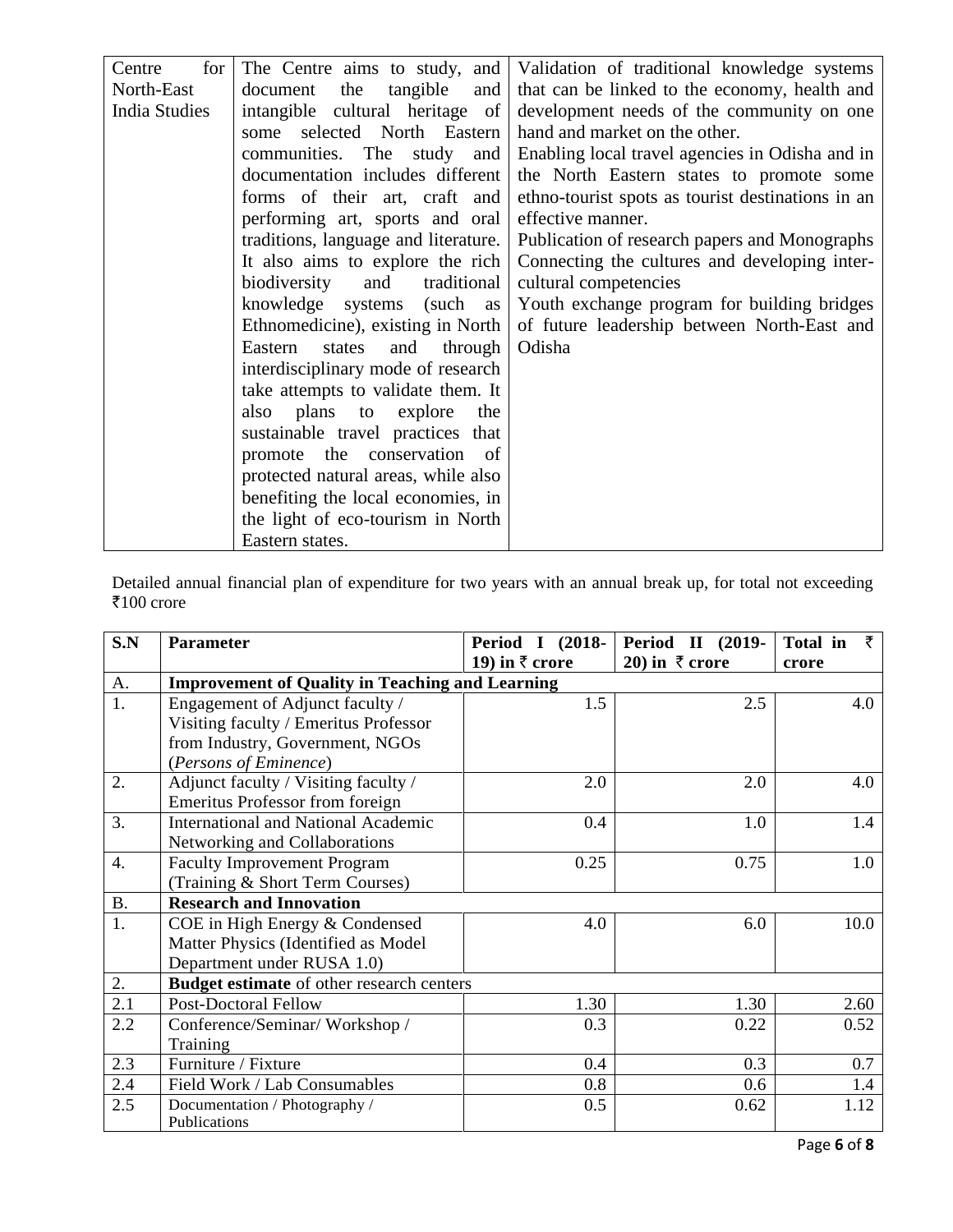| for<br>Centre        |                                      | The Centre aims to study, and Validation of traditional knowledge systems |  |
|----------------------|--------------------------------------|---------------------------------------------------------------------------|--|
| North-East           | tangible<br>document<br>and  <br>the | that can be linked to the economy, health and                             |  |
| <b>India Studies</b> | intangible cultural heritage of      | development needs of the community on one                                 |  |
|                      | selected North Eastern<br>some       | hand and market on the other.                                             |  |
|                      | communities. The study and           | Enabling local travel agencies in Odisha and in                           |  |
|                      | documentation includes different     | the North Eastern states to promote some                                  |  |
|                      | forms of their art, craft and        | ethno-tourist spots as tourist destinations in an                         |  |
|                      | performing art, sports and oral      | effective manner.                                                         |  |
|                      | traditions, language and literature. | Publication of research papers and Monographs                             |  |
|                      | It also aims to explore the rich     | Connecting the cultures and developing inter-                             |  |
|                      | traditional<br>biodiversity<br>and   | cultural competencies                                                     |  |
|                      | knowledge systems (such as           | Youth exchange program for building bridges                               |  |
|                      | Ethnomedicine), existing in North    | of future leadership between North-East and                               |  |
|                      | states<br>Eastern<br>and through     | Odisha                                                                    |  |
|                      | interdisciplinary mode of research   |                                                                           |  |
|                      | take attempts to validate them. It   |                                                                           |  |
|                      | also plans to explore<br>the         |                                                                           |  |
|                      | sustainable travel practices that    |                                                                           |  |
|                      | promote the conservation of          |                                                                           |  |
|                      | protected natural areas, while also  |                                                                           |  |
|                      | benefiting the local economies, in   |                                                                           |  |
|                      | the light of eco-tourism in North    |                                                                           |  |
|                      | Eastern states.                      |                                                                           |  |

Detailed annual financial plan of expenditure for two years with an annual break up, for total not exceeding रैं $100$  crore

| S.N       | <b>Parameter</b>                                       | Period I (2018-           | <b>Period II (2019-</b>   | ₹<br>Total in |
|-----------|--------------------------------------------------------|---------------------------|---------------------------|---------------|
|           |                                                        | 19) in $\bar{\tau}$ crore | 20) in $\bar{\tau}$ crore | crore         |
| A.        | <b>Improvement of Quality in Teaching and Learning</b> |                           |                           |               |
| 1.        | Engagement of Adjunct faculty /                        | 1.5                       | 2.5                       | 4.0           |
|           | Visiting faculty / Emeritus Professor                  |                           |                           |               |
|           | from Industry, Government, NGOs                        |                           |                           |               |
|           | (Persons of Eminence)                                  |                           |                           |               |
| 2.        | Adjunct faculty / Visiting faculty /                   | 2.0                       | 2.0                       | 4.0           |
|           | <b>Emeritus Professor from foreign</b>                 |                           |                           |               |
| 3.        | <b>International and National Academic</b>             | 0.4                       | 1.0                       | 1.4           |
|           | Networking and Collaborations                          |                           |                           |               |
| 4.        | <b>Faculty Improvement Program</b>                     | 0.25                      | 0.75                      | 1.0           |
|           | (Training & Short Term Courses)                        |                           |                           |               |
| <b>B.</b> | <b>Research and Innovation</b>                         |                           |                           |               |
| 1.        | COE in High Energy & Condensed                         | 4.0                       | 6.0                       | 10.0          |
|           | Matter Physics (Identified as Model                    |                           |                           |               |
|           | Department under RUSA 1.0)                             |                           |                           |               |
| 2.        | <b>Budget estimate</b> of other research centers       |                           |                           |               |
| 2.1       | <b>Post-Doctoral Fellow</b>                            | 1.30                      | 1.30                      | 2.60          |
| 2.2       | Conference/Seminar/Workshop/                           | 0.3                       | 0.22                      | 0.52          |
|           | Training                                               |                           |                           |               |
| 2.3       | Furniture / Fixture                                    | 0.4                       | 0.3                       | 0.7           |
| 2.4       | Field Work / Lab Consumables                           | 0.8                       | 0.6                       | 1.4           |
| 2.5       | Documentation / Photography /                          | 0.5                       | 0.62                      | 1.12          |
|           | Publications                                           |                           |                           |               |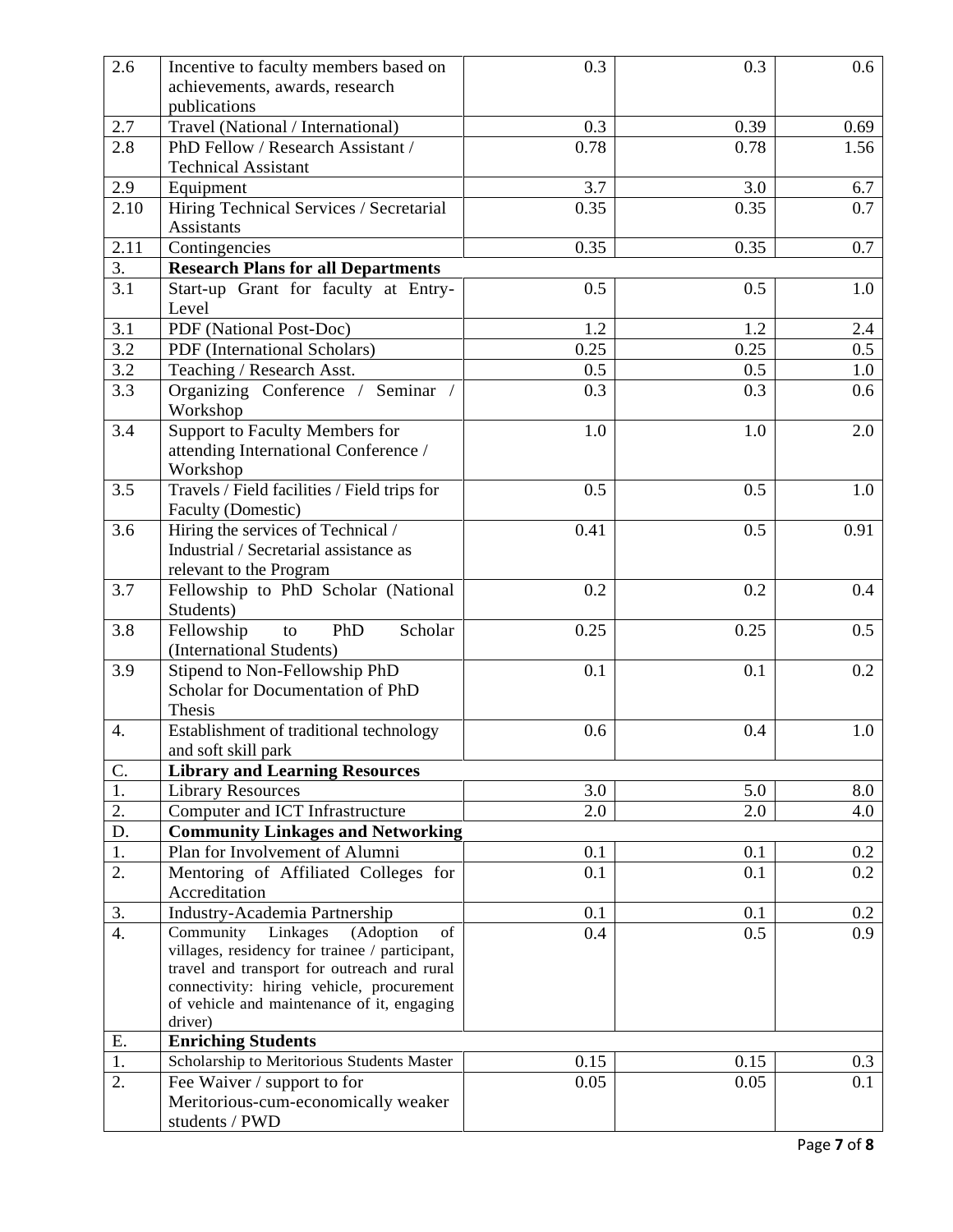| 2.6              | Incentive to faculty members based on                                                    | 0.3  | 0.3  | 0.6     |
|------------------|------------------------------------------------------------------------------------------|------|------|---------|
|                  | achievements, awards, research                                                           |      |      |         |
|                  | publications                                                                             |      |      |         |
| 2.7              | Travel (National / International)                                                        | 0.3  | 0.39 | 0.69    |
| 2.8              | PhD Fellow / Research Assistant /                                                        | 0.78 | 0.78 | 1.56    |
|                  | <b>Technical Assistant</b>                                                               |      |      |         |
| 2.9              | Equipment                                                                                | 3.7  | 3.0  | 6.7     |
| 2.10             | Hiring Technical Services / Secretarial                                                  | 0.35 | 0.35 | 0.7     |
|                  | <b>Assistants</b>                                                                        |      |      |         |
| 2.11             | Contingencies                                                                            | 0.35 | 0.35 | 0.7     |
| $\overline{3}$ . | <b>Research Plans for all Departments</b>                                                |      |      |         |
| 3.1              | Start-up Grant for faculty at Entry-                                                     | 0.5  | 0.5  | 1.0     |
|                  | Level                                                                                    |      |      |         |
| 3.1              | PDF (National Post-Doc)                                                                  | 1.2  | 1.2  | 2.4     |
| 3.2              | PDF (International Scholars)                                                             | 0.25 | 0.25 | 0.5     |
| 3.2              | Teaching / Research Asst.                                                                | 0.5  | 0.5  | 1.0     |
| 3.3              | Organizing Conference / Seminar /                                                        | 0.3  | 0.3  | 0.6     |
|                  | Workshop                                                                                 |      |      |         |
| 3.4              | Support to Faculty Members for                                                           | 1.0  | 1.0  | 2.0     |
|                  | attending International Conference /                                                     |      |      |         |
|                  | Workshop                                                                                 |      |      |         |
| 3.5              | Travels / Field facilities / Field trips for                                             | 0.5  | 0.5  | $1.0\,$ |
|                  | Faculty (Domestic)                                                                       |      |      |         |
| 3.6              | Hiring the services of Technical /                                                       | 0.41 | 0.5  | 0.91    |
|                  | Industrial / Secretarial assistance as                                                   |      |      |         |
|                  | relevant to the Program                                                                  |      |      |         |
| 3.7              | Fellowship to PhD Scholar (National                                                      | 0.2  | 0.2  | 0.4     |
|                  | Students)                                                                                |      |      |         |
| 3.8              | PhD<br>Scholar<br>Fellowship<br>to                                                       | 0.25 | 0.25 | 0.5     |
|                  | (International Students)                                                                 |      |      |         |
| 3.9              | Stipend to Non-Fellowship PhD                                                            | 0.1  | 0.1  | 0.2     |
|                  | Scholar for Documentation of PhD                                                         |      |      |         |
|                  | Thesis                                                                                   |      |      |         |
| 4.               | Establishment of traditional technology                                                  | 0.6  | 0.4  | 1.0     |
|                  | and soft skill park                                                                      |      |      |         |
| C.               | <b>Library and Learning Resources</b>                                                    |      |      |         |
| 1.               | <b>Library Resources</b>                                                                 | 3.0  | 5.0  | 8.0     |
| 2.               | Computer and ICT Infrastructure                                                          | 2.0  | 2.0  | 4.0     |
| D.               | <b>Community Linkages and Networking</b>                                                 |      |      |         |
| 1.               | Plan for Involvement of Alumni                                                           | 0.1  | 0.1  | 0.2     |
| 2.               | Mentoring of Affiliated Colleges for                                                     | 0.1  | 0.1  | 0.2     |
|                  | Accreditation                                                                            |      |      |         |
| 3.               | Industry-Academia Partnership                                                            | 0.1  | 0.1  | 0.2     |
| $\overline{4}$ . | Community<br>Linkages<br>(Adoption<br>of                                                 | 0.4  | 0.5  | 0.9     |
|                  | villages, residency for trainee / participant,                                           |      |      |         |
|                  | travel and transport for outreach and rural<br>connectivity: hiring vehicle, procurement |      |      |         |
|                  | of vehicle and maintenance of it, engaging                                               |      |      |         |
|                  | driver)                                                                                  |      |      |         |
| E.               | <b>Enriching Students</b>                                                                |      |      |         |
| 1.               | Scholarship to Meritorious Students Master                                               | 0.15 | 0.15 | 0.3     |
| 2.               | Fee Waiver / support to for                                                              | 0.05 | 0.05 | 0.1     |
|                  | Meritorious-cum-economically weaker                                                      |      |      |         |
|                  | students / PWD                                                                           |      |      |         |
|                  |                                                                                          |      |      |         |